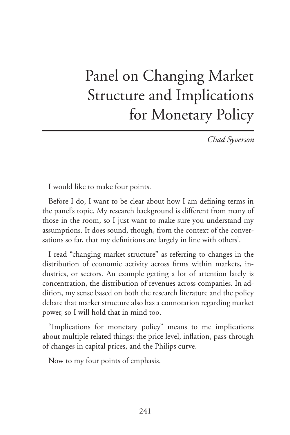# Panel on Changing Market Structure and Implications for Monetary Policy

*Chad Syverson*

I would like to make four points.

Before I do, I want to be clear about how I am defining terms in the panel's topic. My research background is different from many of those in the room, so I just want to make sure you understand my assumptions. It does sound, though, from the context of the conversations so far, that my definitions are largely in line with others'.

I read "changing market structure" as referring to changes in the distribution of economic activity across firms within markets, industries, or sectors. An example getting a lot of attention lately is concentration, the distribution of revenues across companies. In addition, my sense based on both the research literature and the policy debate that market structure also has a connotation regarding market power, so I will hold that in mind too.

"Implications for monetary policy" means to me implications about multiple related things: the price level, inflation, pass-through of changes in capital prices, and the Philips curve.

Now to my four points of emphasis.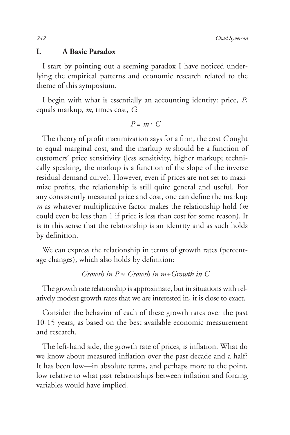### **I. A Basic Paradox**

I start by pointing out a seeming paradox I have noticed underlying the empirical patterns and economic research related to the theme of this symposium.

I begin with what is essentially an accounting identity: price, *P*, equals markup, *m*, times cost, *C*:

$$
P = m \cdot C
$$

The theory of profit maximization says for a firm, the cost *C* ought to equal marginal cost, and the markup *m* should be a function of customers' price sensitivity (less sensitivity, higher markup; technically speaking, the markup is a function of the slope of the inverse residual demand curve). However, even if prices are not set to maximize profits, the relationship is still quite general and useful. For any consistently measured price and cost, one can define the markup *m* as whatever multiplicative factor makes the relationship hold (*m* could even be less than 1 if price is less than cost for some reason). It is in this sense that the relationship is an identity and as such holds by definition.

We can express the relationship in terms of growth rates (percentage changes), which also holds by definition:

## $G$ *rowth in P*  $\approx G$ *rowth in m+Growth in C*

The growth rate relationship is approximate, but in situations with relatively modest growth rates that we are interested in, it is close to exact.

Consider the behavior of each of these growth rates over the past 10-15 years, as based on the best available economic measurement and research.

The left-hand side, the growth rate of prices, is inflation. What do we know about measured inflation over the past decade and a half? It has been low—in absolute terms, and perhaps more to the point, low relative to what past relationships between inflation and forcing variables would have implied.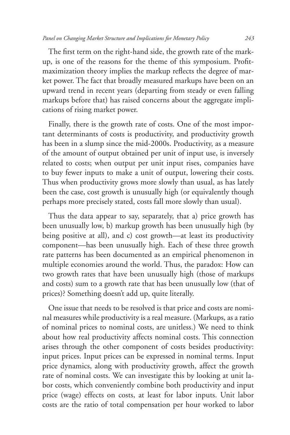The first term on the right-hand side, the growth rate of the markup, is one of the reasons for the theme of this symposium. Profitmaximization theory implies the markup reflects the degree of market power. The fact that broadly measured markups have been on an upward trend in recent years (departing from steady or even falling markups before that) has raised concerns about the aggregate implications of rising market power.

Finally, there is the growth rate of costs. One of the most important determinants of costs is productivity, and productivity growth has been in a slump since the mid-2000s. Productivity, as a measure of the amount of output obtained per unit of input use, is inversely related to costs; when output per unit input rises, companies have to buy fewer inputs to make a unit of output, lowering their costs. Thus when productivity grows more slowly than usual, as has lately been the case, cost growth is unusually high (or equivalently though perhaps more precisely stated, costs fall more slowly than usual).

Thus the data appear to say, separately, that a) price growth has been unusually low, b) markup growth has been unusually high (by being positive at all), and c) cost growth—at least its productivity component—has been unusually high. Each of these three growth rate patterns has been documented as an empirical phenomenon in multiple economies around the world. Thus, the paradox: How can two growth rates that have been unusually high (those of markups and costs) sum to a growth rate that has been unusually low (that of prices)? Something doesn't add up, quite literally.

One issue that needs to be resolved is that price and costs are nominal measures while productivity is a real measure. (Markups, as a ratio of nominal prices to nominal costs, are unitless.) We need to think about how real productivity affects nominal costs. This connection arises through the other component of costs besides productivity: input prices. Input prices can be expressed in nominal terms. Input price dynamics, along with productivity growth, affect the growth rate of nominal costs. We can investigate this by looking at unit labor costs, which conveniently combine both productivity and input price (wage) effects on costs, at least for labor inputs. Unit labor costs are the ratio of total compensation per hour worked to labor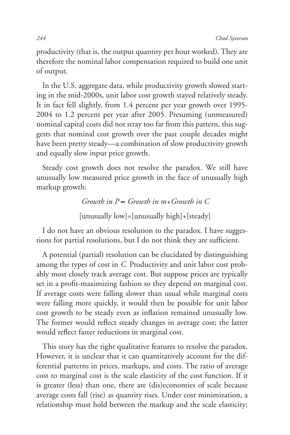productivity (that is, the output quantity per hour worked). They are therefore the nominal labor compensation required to build one unit of output.

In the U.S. aggregate data, while productivity growth slowed starting in the mid-2000s, unit labor cost growth stayed relatively steady. It in fact fell slightly, from 1.4 percent per year growth over 1995- 2004 to 1.2 percent per year after 2005. Presuming (unmeasured) nominal capital costs did not stray too far from this pattern, this suggests that nominal cost growth over the past couple decades might have been pretty steady—a combination of slow productivity growth and equally slow input price growth.

Steady cost growth does not resolve the paradox. We still have unusually low measured price growth in the face of unusually high markup growth:

> $G$ *rowth in P*  $\approx G$ *rowth in m+Growth in C* [unusually low]=[unusually high]+[steady]

I do not have an obvious resolution to the paradox. I have suggestions for partial resolutions, but I do not think they are sufficient.

A potential (partial) resolution can be elucidated by distinguishing among the types of cost in *C*. Productivity and unit labor cost probably most closely track average cost. But suppose prices are typically set in a profit-maximizing fashion so they depend on marginal cost. If average costs were falling slower than usual while marginal costs were falling more quickly, it would then be possible for unit labor cost growth to be steady even as inflation remained unusually low. The former would reflect steady changes in average cost; the latter would reflect faster reductions in marginal cost.

This story has the right qualitative features to resolve the paradox. However, it is unclear that it can quantitatively account for the differential patterns in prices, markups, and costs. The ratio of average cost to marginal cost is the scale elasticity of the cost function. If it is greater (less) than one, there are (dis)economies of scale because average costs fall (rise) as quantity rises. Under cost minimization, a relationship must hold between the markup and the scale elasticity;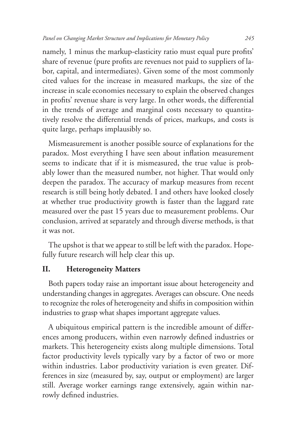namely, 1 minus the markup-elasticity ratio must equal pure profits' share of revenue (pure profits are revenues not paid to suppliers of labor, capital, and intermediates). Given some of the most commonly cited values for the increase in measured markups, the size of the increase in scale economies necessary to explain the observed changes in profits' revenue share is very large. In other words, the differential in the trends of average and marginal costs necessary to quantitatively resolve the differential trends of prices, markups, and costs is quite large, perhaps implausibly so.

Mismeasurement is another possible source of explanations for the paradox. Most everything I have seen about inflation measurement seems to indicate that if it is mismeasured, the true value is probably lower than the measured number, not higher. That would only deepen the paradox. The accuracy of markup measures from recent research is still being hotly debated. I and others have looked closely at whether true productivity growth is faster than the laggard rate measured over the past 15 years due to measurement problems. Our conclusion, arrived at separately and through diverse methods, is that it was not.

The upshot is that we appear to still be left with the paradox. Hopefully future research will help clear this up.

## **II. Heterogeneity Matters**

Both papers today raise an important issue about heterogeneity and understanding changes in aggregates. Averages can obscure. One needs to recognize the roles of heterogeneity and shifts in composition within industries to grasp what shapes important aggregate values.

A ubiquitous empirical pattern is the incredible amount of differences among producers, within even narrowly defined industries or markets. This heterogeneity exists along multiple dimensions. Total factor productivity levels typically vary by a factor of two or more within industries. Labor productivity variation is even greater. Differences in size (measured by, say, output or employment) are larger still. Average worker earnings range extensively, again within narrowly defined industries.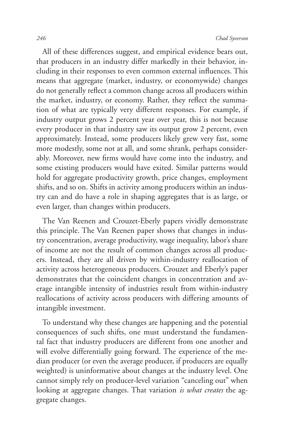All of these differences suggest, and empirical evidence bears out, that producers in an industry differ markedly in their behavior, including in their responses to even common external influences. This means that aggregate (market, industry, or economywide) changes do not generally reflect a common change across all producers within the market, industry, or economy. Rather, they reflect the summation of what are typically very different responses. For example, if industry output grows 2 percent year over year, this is not because every producer in that industry saw its output grow 2 percent, even approximately. Instead, some producers likely grew very fast, some more modestly, some not at all, and some shrank, perhaps considerably. Moreover, new firms would have come into the industry, and some existing producers would have exited. Similar patterns would hold for aggregate productivity growth, price changes, employment shifts, and so on. Shifts in activity among producers within an industry can and do have a role in shaping aggregates that is as large, or even larger, than changes within producers.

The Van Reenen and Crouzet-Eberly papers vividly demonstrate this principle. The Van Reenen paper shows that changes in industry concentration, average productivity, wage inequality, labor's share of income are not the result of common changes across all producers. Instead, they are all driven by within-industry reallocation of activity across heterogeneous producers. Crouzet and Eberly's paper demonstrates that the coincident changes in concentration and average intangible intensity of industries result from within-industry reallocations of activity across producers with differing amounts of intangible investment.

To understand why these changes are happening and the potential consequences of such shifts, one must understand the fundamental fact that industry producers are different from one another and will evolve differentially going forward. The experience of the median producer (or even the average producer, if producers are equally weighted) is uninformative about changes at the industry level. One cannot simply rely on producer-level variation "canceling out" when looking at aggregate changes. That variation *is what creates* the aggregate changes.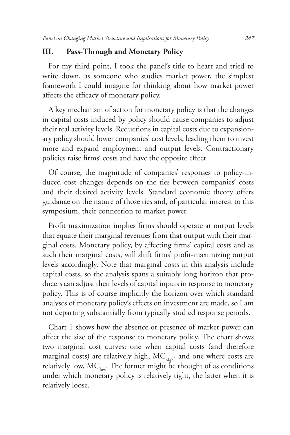## **III. Pass-Through and Monetary Policy**

For my third point, I took the panel's title to heart and tried to write down, as someone who studies market power, the simplest framework I could imagine for thinking about how market power affects the efficacy of monetary policy.

A key mechanism of action for monetary policy is that the changes in capital costs induced by policy should cause companies to adjust their real activity levels. Reductions in capital costs due to expansionary policy should lower companies' cost levels, leading them to invest more and expand employment and output levels. Contractionary policies raise firms' costs and have the opposite effect.

Of course, the magnitude of companies' responses to policy-induced cost changes depends on the ties between companies' costs and their desired activity levels. Standard economic theory offers guidance on the nature of those ties and, of particular interest to this symposium, their connection to market power.

Profit maximization implies firms should operate at output levels that equate their marginal revenues from that output with their marginal costs. Monetary policy, by affecting firms' capital costs and as such their marginal costs, will shift firms' profit-maximizing output levels accordingly. Note that marginal costs in this analysis include capital costs, so the analysis spans a suitably long horizon that producers can adjust their levels of capital inputs in response to monetary policy. This is of course implicitly the horizon over which standard analyses of monetary policy's effects on investment are made, so I am not departing substantially from typically studied response periods.

Chart 1 shows how the absence or presence of market power can affect the size of the response to monetary policy. The chart shows two marginal cost curves: one when capital costs (and therefore marginal costs) are relatively high,  $MC_{\text{high}}$ , and one where costs are relatively low,  $MC_{low}$ . The former might be thought of as conditions under which monetary policy is relatively tight, the latter when it is relatively loose.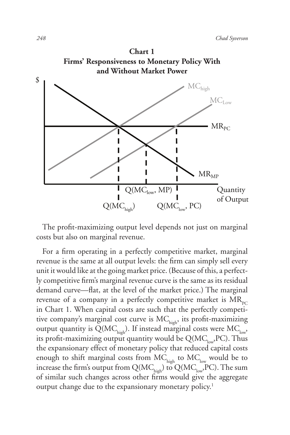

The profit-maximizing output level depends not just on marginal costs but also on marginal revenue.

For a firm operating in a perfectly competitive market, marginal revenue is the same at all output levels: the firm can simply sell every unit it would like at the going market price. (Because of this, a perfectly competitive firm's marginal revenue curve is the same as its residual demand curve—flat, at the level of the market price.) The marginal revenue of a company in a perfectly competitive market is  $MR_{pc}$ in Chart 1. When capital costs are such that the perfectly competitive company's marginal cost curve is  $MC_{high}$ , its profit-maximizing output quantity is  $Q(MC_{\text{high}})$ . If instead marginal costs were  $MC_{\text{low}}$ , its profit-maximizing output quantity would be  $Q(MC_{low},PC)$ . Thus the expansionary effect of monetary policy that reduced capital costs enough to shift marginal costs from  $MC_{\text{high}}$  to  $MC_{\text{low}}$  would be to increase the firm's output from  $Q(MC_{\text{high}})$  to  $Q(MC_{\text{low}}$ , PC). The sum of similar such changes across other firms would give the aggregate output change due to the expansionary monetary policy.<sup>1</sup>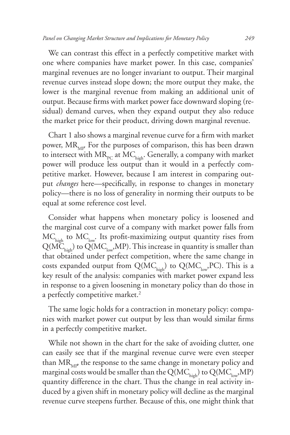We can contrast this effect in a perfectly competitive market with one where companies have market power. In this case, companies' marginal revenues are no longer invariant to output. Their marginal revenue curves instead slope down; the more output they make, the lower is the marginal revenue from making an additional unit of output. Because firms with market power face downward sloping (residual) demand curves, when they expand output they also reduce the market price for their product, driving down marginal revenue.

Chart 1 also shows a marginal revenue curve for a firm with market power,  $MR_{\text{max}}$ . For the purposes of comparison, this has been drawn to intersect with  $MR_{pc}$  at  $MC_{high}$ . Generally, a company with market power will produce less output than it would in a perfectly competitive market. However, because I am interest in comparing output *changes* here—specifically, in response to changes in monetary policy—there is no loss of generality in norming their outputs to be equal at some reference cost level.

Consider what happens when monetary policy is loosened and the marginal cost curve of a company with market power falls from  $MC<sub>high</sub>$  to  $MC<sub>low</sub>$ . Its profit-maximizing output quantity rises from  $\widetilde{Q(MC_{\textrm{high}})}$  to  $\widetilde{Q(MC_{\textrm{low}}},MP)$ . This increase in quantity is smaller than that obtained under perfect competition, where the same change in costs expanded output from  $Q(MC_{\text{high}})$  to  $Q(MC_{\text{low}}$ , PC). This is a key result of the analysis: companies with market power expand less in response to a given loosening in monetary policy than do those in a perfectly competitive market.<sup>2</sup>

The same logic holds for a contraction in monetary policy: companies with market power cut output by less than would similar firms in a perfectly competitive market.

While not shown in the chart for the sake of avoiding clutter, one can easily see that if the marginal revenue curve were even steeper than  $MR<sub>MP</sub>$  the response to the same change in monetary policy and marginal costs would be smaller than the Q(MC<sub>high</sub>) to Q(MC<sub>low</sub>,MP) quantity difference in the chart. Thus the change in real activity induced by a given shift in monetary policy will decline as the marginal revenue curve steepens further. Because of this, one might think that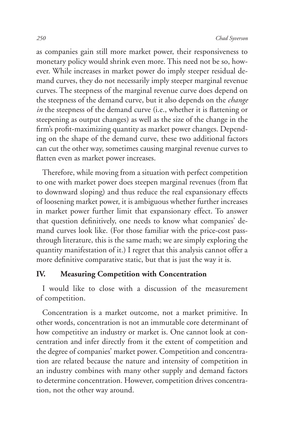as companies gain still more market power, their responsiveness to monetary policy would shrink even more. This need not be so, however. While increases in market power do imply steeper residual demand curves, they do not necessarily imply steeper marginal revenue curves. The steepness of the marginal revenue curve does depend on the steepness of the demand curve, but it also depends on the *change in* the steepness of the demand curve (i.e., whether it is flattening or steepening as output changes) as well as the size of the change in the firm's profit-maximizing quantity as market power changes. Depending on the shape of the demand curve, these two additional factors can cut the other way, sometimes causing marginal revenue curves to flatten even as market power increases.

Therefore, while moving from a situation with perfect competition to one with market power does steepen marginal revenues (from flat to downward sloping) and thus reduce the real expansionary effects of loosening market power, it is ambiguous whether further increases in market power further limit that expansionary effect. To answer that question definitively, one needs to know what companies' demand curves look like. (For those familiar with the price-cost passthrough literature, this is the same math; we are simply exploring the quantity manifestation of it.) I regret that this analysis cannot offer a more definitive comparative static, but that is just the way it is.

## **IV. Measuring Competition with Concentration**

I would like to close with a discussion of the measurement of competition.

Concentration is a market outcome, not a market primitive. In other words, concentration is not an immutable core determinant of how competitive an industry or market is. One cannot look at concentration and infer directly from it the extent of competition and the degree of companies' market power. Competition and concentration are related because the nature and intensity of competition in an industry combines with many other supply and demand factors to determine concentration. However, competition drives concentration, not the other way around.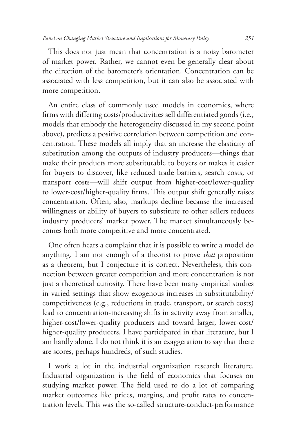This does not just mean that concentration is a noisy barometer of market power. Rather, we cannot even be generally clear about the direction of the barometer's orientation. Concentration can be associated with less competition, but it can also be associated with more competition.

An entire class of commonly used models in economics, where firms with differing costs/productivities sell differentiated goods (i.e., models that embody the heterogeneity discussed in my second point above), predicts a positive correlation between competition and concentration. These models all imply that an increase the elasticity of substitution among the outputs of industry producers—things that make their products more substitutable to buyers or makes it easier for buyers to discover, like reduced trade barriers, search costs, or transport costs—will shift output from higher-cost/lower-quality to lower-cost/higher-quality firms. This output shift generally raises concentration. Often, also, markups decline because the increased willingness or ability of buyers to substitute to other sellers reduces industry producers' market power. The market simultaneously becomes both more competitive and more concentrated.

One often hears a complaint that it is possible to write a model do anything. I am not enough of a theorist to prove *that* proposition as a theorem, but I conjecture it is correct. Nevertheless, this connection between greater competition and more concentration is not just a theoretical curiosity. There have been many empirical studies in varied settings that show exogenous increases in substitutability/ competitiveness (e.g., reductions in trade, transport, or search costs) lead to concentration-increasing shifts in activity away from smaller, higher-cost/lower-quality producers and toward larger, lower-cost/ higher-quality producers. I have participated in that literature, but I am hardly alone. I do not think it is an exaggeration to say that there are scores, perhaps hundreds, of such studies.

I work a lot in the industrial organization research literature. Industrial organization is the field of economics that focuses on studying market power. The field used to do a lot of comparing market outcomes like prices, margins, and profit rates to concentration levels. This was the so-called structure-conduct-performance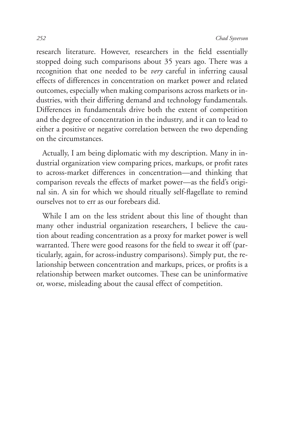research literature. However, researchers in the field essentially stopped doing such comparisons about 35 years ago. There was a recognition that one needed to be *very* careful in inferring causal effects of differences in concentration on market power and related outcomes, especially when making comparisons across markets or industries, with their differing demand and technology fundamentals. Differences in fundamentals drive both the extent of competition and the degree of concentration in the industry, and it can to lead to either a positive or negative correlation between the two depending on the circumstances.

Actually, I am being diplomatic with my description. Many in industrial organization view comparing prices, markups, or profit rates to across-market differences in concentration—and thinking that comparison reveals the effects of market power—as the field's original sin. A sin for which we should ritually self-flagellate to remind ourselves not to err as our forebears did.

While I am on the less strident about this line of thought than many other industrial organization researchers, I believe the caution about reading concentration as a proxy for market power is well warranted. There were good reasons for the field to swear it off (particularly, again, for across-industry comparisons). Simply put, the relationship between concentration and markups, prices, or profits is a relationship between market outcomes. These can be uninformative or, worse, misleading about the causal effect of competition.